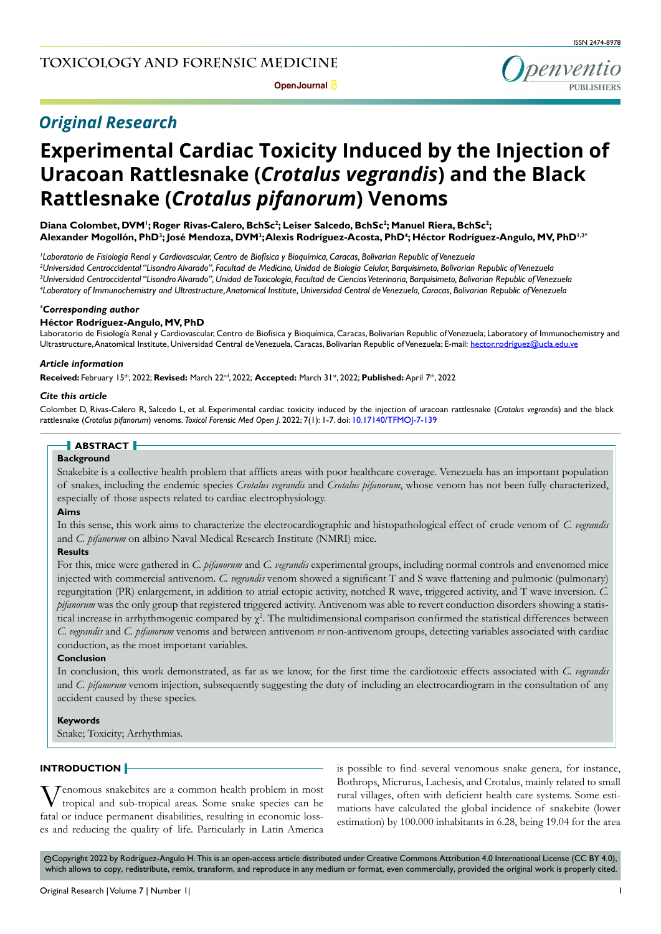## *Original Research*

# **Experimental Cardiac Toxicity Induced by the Injection of Uracoan Rattlesnake (***Crotalus vegrandis***) and the Black Rattlesnake (***Crotalus pifanorum***) Venoms**

Diana Colombet, DVM<sup>I</sup>; Roger Rivas-Calero, BchSc<sup>2</sup>; Leiser Salcedo, BchSc<sup>2</sup>; Manuel Riera, BchSc<sup>2</sup>; Alexander Mogollón, PhD<sup>3</sup>; José Mendoza, DVM<sup>3</sup>;Alexis Rodríguez-Acosta, PhD<sup>4</sup>; Héctor Rodríguez-Angulo, MV, PhD<sup>1,2</sup>\*

 *Laboratorio de Fisiología Renal y Cardiovascular, Centro de Biofísica y Bioquímica, Caracas, Bolivarian Republic of Venezuela Universidad Centroccidental "Lisandro Alvarado", Facultad de Medicina, Unidad de Biología Celular, Barquisimeto, Bolivarian Republic of Venezuela Universidad Centroccidental "Lisandro Alvarado", Unidad de Toxicología, Facultad de Ciencias Veterinaria, Barquisimeto, Bolivarian Republic of Venezuela Laboratory of Immunochemistry and Ultrastructure, Anatomical Institute, Universidad Central de Venezuela, Caracas, Bolivarian Republic of Venezuela* 

#### *\* Corresponding author*

#### **Héctor Rodríguez-Angulo, MV, PhD**

Laboratorio de Fisiología Renal y Cardiovascular, Centro de Biofísica y Bioquímica, Caracas, Bolivarian Republic of Venezuela; Laboratory of Immunochemistry and Ultrastructure, Anatomical Institute, Universidad Central de Venezuela, Caracas, Bolivarian Republic of Venezuela; E-mail: hector.rodriguez@ucla.edu.ve

#### *Article information*

**Received:** February 15th, 2022; **Revised:** March 22nd, 2022; **Accepted:** March 31st, 2022; **Published:** April 7th, 2022

#### *Cite this article*

Colombet D, Rivas-Calero R, Salcedo L, et al. Experimental cardiac toxicity induced by the injection of uracoan rattlesnake (*Crotalus vegrandis*) and the black rattlesnake (*Crotalus pifanorum*) venoms. *Toxicol Forensic Med Open J*. 2022; 7(1): 1-7. doi: [10.17140/TFMOJ-7-139](http://dx.doi.org/10.17140/TFMOJ-7-139)

## **ABSTRACT**

#### **Background**

Snakebite is a collective health problem that afflicts areas with poor healthcare coverage. Venezuela has an important population of snakes, including the endemic species *Crotalus vegrandis* and *Crotalus pifanorum*, whose venom has not been fully characterized, especially of those aspects related to cardiac electrophysiology.

#### **Aims**

In this sense, this work aims to characterize the electrocardiographic and histopathological effect of crude venom of *C. vegrandis* and *C. pifanorum* on albino Naval Medical Research Institute (NMRI) mice.

#### **Results**

For this, mice were gathered in *C. pifanorum* and *C. vegrandis* experimental groups, including normal controls and envenomed mice injected with commercial antivenom. *C. vegrandis* venom showed a significant T and S wave flattening and pulmonic (pulmonary) regurgitation (PR) enlargement, in addition to atrial ectopic activity, notched R wave, triggered activity, and T wave inversion. *C. pifanorum* was the only group that registered triggered activity. Antivenom was able to revert conduction disorders showing a statistical increase in arrhythmogenic compared by  $\chi^2$ . The multidimensional comparison confirmed the statistical differences between *C. vegrandis* and *C. pifanorum* venoms and between antivenom *vs* non-antivenom groups, detecting variables associated with cardiac conduction, as the most important variables.

#### **Conclusion**

In conclusion, this work demonstrated, as far as we know, for the first time the cardiotoxic effects associated with *C. vegrandis*  and *C. pifanorum* venom injection, subsequently suggesting the duty of including an electrocardiogram in the consultation of any accident caused by these species.

#### **Keywords**

Snake; Toxicity; Arrhythmias.

#### **INTRODUCTION**

Venomous snakebites are a common health problem in most tropical and sub-tropical areas. Some snake species can be fatal or induce permanent disabilities, resulting in economic losses and reducing the quality of life. Particularly in Latin America

is possible to find several venomous snake genera, for instance, Bothrops, Micrurus, Lachesis, and Crotalus, mainly related to small rural villages, often with deficient health care systems. Some estimations have calculated the global incidence of snakebite (lower estimation) by 100.000 inhabitants in 6.28, being 19.04 for the area

 Copyright 2022 by Rodríguez-Angulo H. This is an open-access article distributed under Creative Commons Attribution 4.0 International License (CC BY 4.0), cc which allows to copy, redistribute, remix, transform, and reproduce in any medium or format, even commercially, provided the original work is properly cited.

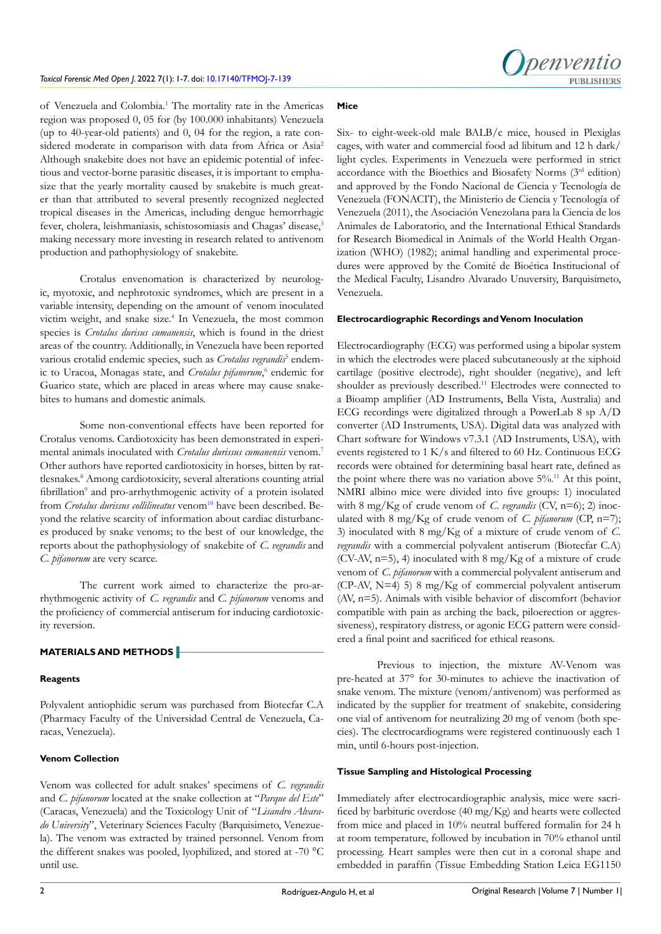

of Venezuela and Colombia.<sup>[1](#page-5-0)</sup> The mortality rate in the Americas region was proposed 0, 05 for (by 100.000 inhabitants) Venezuela (up to 40-year-old patients) and 0, 04 for the region, a rate considered moderate in comparison with data from Africa or Asia<sup>2</sup> Although snakebite does not have an epidemic potential of infectious and vector-borne parasitic diseases, it is important to emphasize that the yearly mortality caused by snakebite is much greater than that attributed to several presently recognized neglected tropical diseases in the Americas, including dengue hemorrhagic fever, cholera, leishmaniasis, schistosomiasis and Chagas' disease,<sup>[3](#page-5-2)</sup> making necessary more investing in research related to antivenom production and pathophysiology of snakebite.

Crotalus envenomation is characterized by neurologic, myotoxic, and nephrotoxic syndromes, which are present in a variable intensity, depending on the amount of venom inoculated victim weight, and snake size.<sup>4</sup> In Venezuela, the most common species is *Crotalus durisus cumanensis*, which is found in the driest areas of the country. Additionally, in Venezuela have been reported various crotalid endemic species, such as *Crotalus vegrandis*<sup>[5](#page-6-0)</sup> endemic to Uracoa, Monagas state, and *Crotalus pifanorum*,<sup>[6](#page-6-1)</sup> endemic for Guarico state, which are placed in areas where may cause snakebites to humans and domestic animals.

Some non-conventional effects have been reported for Crotalus venoms. Cardiotoxicity has been demonstrated in experimental animals inoculated with *Crotalus durissus cumanensis* venom.[7](#page-6-2) Other authors have reported cardiotoxicity in horses, bitten by rattlesnakes[.8](#page-6-3) Among cardiotoxicity, several alterations counting atrial fibrillation<sup>9</sup> and pro-arrhythmogenic activity of a protein isolated from *Crotalus durissus collilineatus* venom<sup>[10](#page-6-5)</sup> have been described. Beyond the relative scarcity of information about cardiac disturbances produced by snake venoms; to the best of our knowledge, the reports about the pathophysiology of snakebite of *C. vegrandis* and *C. pifanorum* are very scarce.

The current work aimed to characterize the pro-arrhythmogenic activity of *C. vegrandis* and *C. pifanorum* venoms and the proficiency of commercial antiserum for inducing cardiotoxicity reversion.

### **MATERIALS AND METHODS**

#### **Reagents**

Polyvalent antiophidic serum was purchased from Biotecfar C.A (Pharmacy Faculty of the Universidad Central de Venezuela, Caracas, Venezuela).

#### **Venom Collection**

Venom was collected for adult snakes' specimens of *C. vegrandis* and *C. pifanorum* located at the snake collection at "*Parque del Este*" (Caracas, Venezuela) and the Toxicology Unit of "*Lisandro Alvarado University*", Veterinary Sciences Faculty (Barquisimeto, Venezuela). The venom was extracted by trained personnel. Venom from the different snakes was pooled, lyophilized, and stored at -70 °C until use.

#### **Mice**

Six- to eight-week-old male BALB/c mice, housed in Plexiglas cages, with water and commercial food ad libitum and 12 h dark/ light cycles. Experiments in Venezuela were performed in strict accordance with the Bioethics and Biosafety Norms (3rd edition) and approved by the Fondo Nacional de Ciencia y Tecnología de Venezuela (FONACIT), the Ministerio de Ciencia y Tecnología of Venezuela (2011), the Asociación Venezolana para la Ciencia de los Animales de Laboratorio, and the International Ethical Standards for Research Biomedical in Animals of the World Health Organization (WHO) (1982); animal handling and experimental procedures were approved by the Comité de Bioética Institucional of the Medical Faculty, Lisandro Alvarado Unuversity, Barquisimeto, Venezuela.

#### **Electrocardiographic Recordings and Venom Inoculation**

Electrocardiography (ECG) was performed using a bipolar system in which the electrodes were placed subcutaneously at the xiphoid cartilage (positive electrode), right shoulder (negative), and left shoulder as previously described.<sup>11</sup> Electrodes were connected to a Bioamp amplifier (AD Instruments, Bella Vista, Australia) and ECG recordings were digitalized through a PowerLab 8 sp A/D converter (AD Instruments, USA). Digital data was analyzed with Chart software for Windows v7.3.1 (AD Instruments, USA), with events registered to 1 K/s and filtered to 60 Hz. Continuous ECG records were obtained for determining basal heart rate, defined as the point where there was no variation above  $5\%$ .<sup>[11](#page-6-6)</sup> At this point, NMRI albino mice were divided into five groups: 1) inoculated with 8 mg/Kg of crude venom of *C. vegrandis* (CV, n=6); 2) inoculated with 8 mg/Kg of crude venom of *C. pifanorum* (CP, n=7); 3) inoculated with 8 mg/Kg of a mixture of crude venom of *C. vegrandis* with a commercial polyvalent antiserum (Biotecfar C.A) (CV-AV,  $n=5$ ), 4) inoculated with 8 mg/Kg of a mixture of crude venom of *C. pifanorum* with a commercial polyvalent antiserum and (CP-AV, N=4) 5) 8 mg/Kg of commercial polyvalent antiserum (AV, n=5). Animals with visible behavior of discomfort (behavior compatible with pain as arching the back, piloerection or aggressiveness), respiratory distress, or agonic ECG pattern were considered a final point and sacrificed for ethical reasons.

Previous to injection, the mixture AV-Venom was pre-heated at 37° for 30-minutes to achieve the inactivation of snake venom. The mixture (venom/antivenom) was performed as indicated by the supplier for treatment of snakebite, considering one vial of antivenom for neutralizing 20 mg of venom (both species). The electrocardiograms were registered continuously each 1 min, until 6-hours post-injection.

#### **Tissue Sampling and Histological Processing**

Immediately after electrocardiographic analysis, mice were sacrificed by barbituric overdose (40 mg/Kg) and hearts were collected from mice and placed in 10% neutral buffered formalin for 24 h at room temperature, followed by incubation in 70% ethanol until processing. Heart samples were then cut in a coronal shape and embedded in paraffin (Tissue Embedding Station Leica EG1150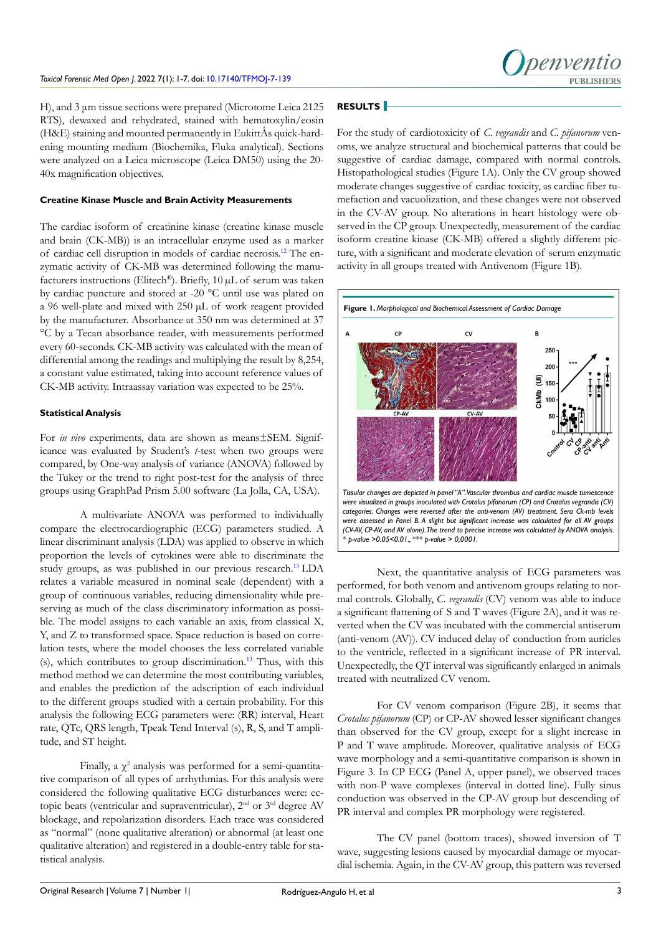H), and 3 μm tissue sections were prepared (Microtome Leica 2125 RTS), dewaxed and rehydrated, stained with hematoxylin/eosin (H&E) staining and mounted permanently in EukittÂs quick-hardening mounting medium (Biochemika, Fluka analytical). Sections were analyzed on a Leica microscope (Leica DM50) using the 20- 40x magnification objectives.

#### **Creatine Kinase Muscle and Brain Activity Measurements**

The cardiac isoform of creatinine kinase (creatine kinase muscle and brain (CK-MB)) is an intracellular enzyme used as a marker of cardiac cell disruption in models of cardiac necrosis.[12](#page-6-7) The enzymatic activity of CK-MB was determined following the manufacturers instructions (Elitech®). Briefly, 10 µL of serum was taken by cardiac puncture and stored at -20 °C until use was plated on a 96 well-plate and mixed with 250 µL of work reagent provided by the manufacturer. Absorbance at 350 nm was determined at 37 °C by a Tecan absorbance reader, with measurements performed every 60-seconds. CK-MB activity was calculated with the mean of differential among the readings and multiplying the result by 8,254, a constant value estimated, taking into account reference values of CK-MB activity. Intraassay variation was expected to be 25%.

#### **Statistical Analysis**

For *in vivo* experiments, data are shown as means±SEM. Significance was evaluated by Student's *t*-test when two groups were compared, by One-way analysis of variance (ANOVA) followed by the Tukey or the trend to right post-test for the analysis of three groups using GraphPad Prism 5.00 software (La Jolla, CA, USA).

A multivariate ANOVA was performed to individually compare the electrocardiographic (ECG) parameters studied. A linear discriminant analysis (LDA) was applied to observe in which proportion the levels of cytokines were able to discriminate the study groups, as was published in our previous research.<sup>13</sup> LDA relates a variable measured in nominal scale (dependent) with a group of continuous variables, reducing dimensionality while preserving as much of the class discriminatory information as possible. The model assigns to each variable an axis, from classical X, Y, and Z to transformed space. Space reduction is based on correlation tests, where the model chooses the less correlated variable (s), which contributes to group discrimination.[13](#page-6-8) Thus, with this method method we can determine the most contributing variables, and enables the prediction of the adscription of each individual to the different groups studied with a certain probability. For this analysis the following ECG parameters were: (RR) interval, Heart rate, QTc, QRS length, Tpeak Tend Interval (s), R, S, and T amplitude, and ST height.

Finally, a  $\chi^2$  analysis was performed for a semi-quantitative comparison of all types of arrhythmias. For this analysis were considered the following qualitative ECG disturbances were: ectopic beats (ventricular and supraventricular), 2nd or 3rd degree AV blockage, and repolarization disorders. Each trace was considered as "normal" (none qualitative alteration) or abnormal (at least one qualitative alteration) and registered in a double-entry table for statistical analysis.

## **RESULTS**

For the study of cardiotoxicity of *C. vegrandis* and *C. pifanorum* venoms, we analyze structural and biochemical patterns that could be suggestive of cardiac damage, compared with normal controls. Histopathological studies (Figure 1A). Only the CV group showed moderate changes suggestive of cardiac toxicity, as cardiac fiber tumefaction and vacuolization, and these changes were not observed in the CV-AV group. No alterations in heart histology were observed in the CP group. Unexpectedly, measurement of the cardiac isoform creatine kinase (CK-MB) offered a slightly different picture, with a significant and moderate elevation of serum enzymatic activity in all groups treated with Antivenom (Figure 1B).



Next, the quantitative analysis of ECG parameters was performed, for both venom and antivenom groups relating to normal controls. Globally, *C. vegrandis* (CV) venom was able to induce a significant flattening of S and T waves (Figure 2A), and it was reverted when the CV was incubated with the commercial antiserum (anti-venom (AV)). CV induced delay of conduction from auricles to the ventricle, reflected in a significant increase of PR interval. Unexpectedly, the QT interval was significantly enlarged in animals treated with neutralized CV venom.

For CV venom comparison (Figure 2B), it seems that *Crotalus pifanorum* (CP) or CP-AV showed lesser significant changes than observed for the CV group, except for a slight increase in P and T wave amplitude. Moreover, qualitative analysis of ECG wave morphology and a semi-quantitative comparison is shown in Figure 3. In CP ECG (Panel A, upper panel), we observed traces with non-P wave complexes (interval in dotted line). Fully sinus conduction was observed in the CP-AV group but descending of PR interval and complex PR morphology were registered.

The CV panel (bottom traces), showed inversion of T wave, suggesting lesions caused by myocardial damage or myocardial ischemia. Again, in the CV-AV group, this pattern was reversed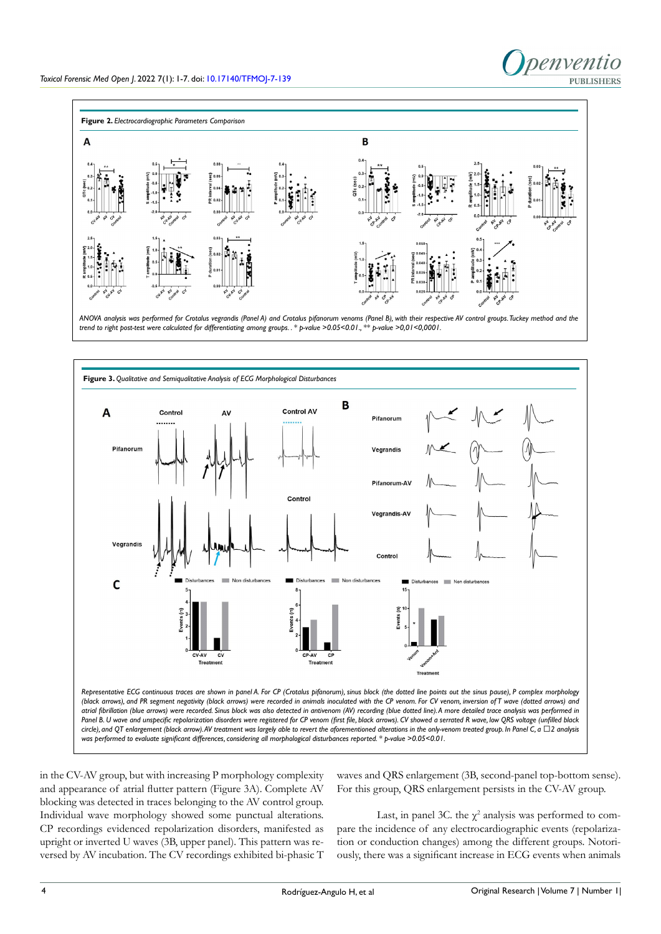

*ANOVA analysis was performed for Crotalus vegrandis (Panel A) and Crotalus pifanorum venoms (Panel B), with their respective AV control groups. Tuckey method and the trend to right post-test were calculated for differentiating among groups. . \* p-value >0.05<0.01., \*\* p-value >0,01<0,0001.* 



in the CV-AV group, but with increasing P morphology complexity and appearance of atrial flutter pattern (Figure 3A). Complete AV blocking was detected in traces belonging to the AV control group. Individual wave morphology showed some punctual alterations. CP recordings evidenced repolarization disorders, manifested as upright or inverted U waves (3B, upper panel). This pattern was reversed by AV incubation. The CV recordings exhibited bi-phasic T waves and QRS enlargement (3B, second-panel top-bottom sense). For this group, QRS enlargement persists in the CV-AV group.

Last, in panel 3C. the  $\chi^2$  analysis was performed to compare the incidence of any electrocardiographic events (repolarization or conduction changes) among the different groups. Notoriously, there was a significant increase in ECG events when animals

penventio

**PUBLISHERS**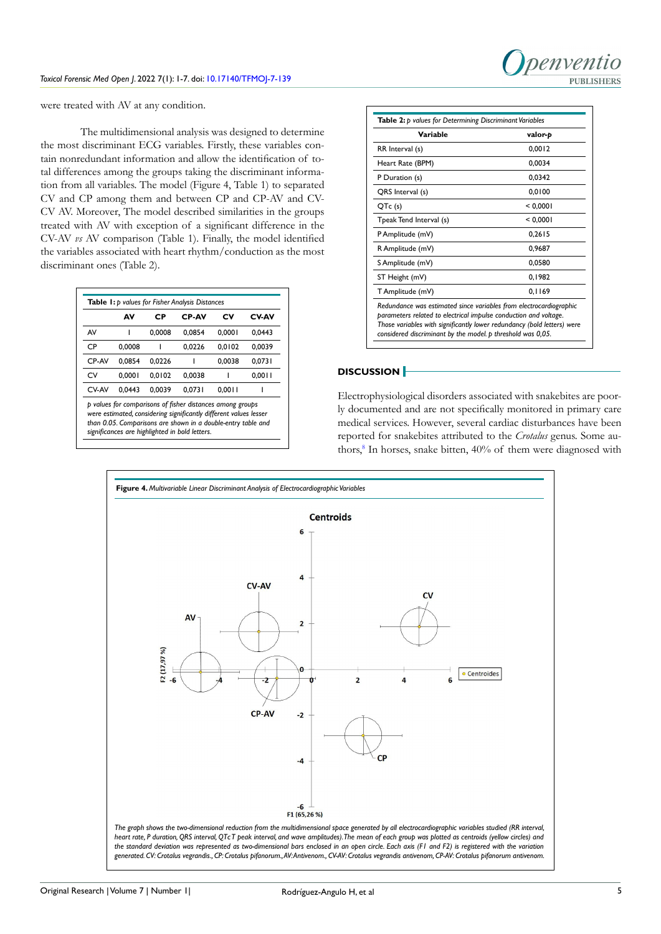

were treated with AV at any condition.

The multidimensional analysis was designed to determine the most discriminant ECG variables. Firstly, these variables contain nonredundant information and allow the identification of total differences among the groups taking the discriminant information from all variables. The model (Figure 4, Table 1) to separated CV and CP among them and between CP and CP-AV and CV-CV AV. Moreover, The model described similarities in the groups treated with AV with exception of a significant difference in the CV-AV *vs* AV comparison (Table 1). Finally, the model identified the variables associated with heart rhythm/conduction as the most discriminant ones (Table 2).

|       | Α٧     | СP     | <b>CP-AV</b>                                                                                                                                                                                                                                     | c۷     | CV-AV  |
|-------|--------|--------|--------------------------------------------------------------------------------------------------------------------------------------------------------------------------------------------------------------------------------------------------|--------|--------|
| AV    |        | 0.0008 | 0.0854                                                                                                                                                                                                                                           | 0.0001 | 0.0443 |
| СP    | 0.0008 |        | 0.0226                                                                                                                                                                                                                                           | 0.0102 | 0.0039 |
| CP-AV | 0.0854 | 0.0226 |                                                                                                                                                                                                                                                  | 0.0038 | 0.0731 |
| CV    | 0.0001 | 0.0102 | 0.0038                                                                                                                                                                                                                                           |        | 0.0011 |
| CV-AV | 0.0443 | 0.0039 | 0.0731                                                                                                                                                                                                                                           | 0.0011 |        |
|       |        |        | p values for comparisons of fisher distances among groups<br>were estimated, considering significantly different values lesser<br>than 0.05. Comparisons are shown in a double-entry table and<br>significances are highlighted in bold letters. |        |        |

| Variable                                                                                                                                                                                                                                                                         | valor-p  |
|----------------------------------------------------------------------------------------------------------------------------------------------------------------------------------------------------------------------------------------------------------------------------------|----------|
| RR Interval (s)                                                                                                                                                                                                                                                                  | 0.0012   |
| Heart Rate (BPM)                                                                                                                                                                                                                                                                 | 0.0034   |
| P Duration (s)                                                                                                                                                                                                                                                                   | 0.0342   |
| QRS Interval (s)                                                                                                                                                                                                                                                                 | 0.0100   |
| QTc (s)                                                                                                                                                                                                                                                                          | < 0.0001 |
| Tpeak Tend Interval (s)                                                                                                                                                                                                                                                          | < 0.0001 |
| P Amplitude (mV)                                                                                                                                                                                                                                                                 | 0.2615   |
| R Amplitude (mV)                                                                                                                                                                                                                                                                 | 0.9687   |
| S Amplitude (mV)                                                                                                                                                                                                                                                                 | 0.0580   |
| ST Height (mV)                                                                                                                                                                                                                                                                   | 0.1982   |
| T Amplitude (mV)                                                                                                                                                                                                                                                                 | 0.1169   |
| Redundance was estimated since variables from electrocardiographic<br>parameters related to electrical impulse conduction and voltage.<br>Those variables with significantly lower redundancy (bold letters) were<br>considered discriminant by the model. p threshold was 0,05. |          |

#### **DISCUSSION**

Electrophysiological disorders associated with snakebites are poorly documented and are not specifically monitored in primary care medical services. However, several cardiac disturbances have been reported for snakebites attributed to the *Crotalus* genus. Some au-thors,<sup>[8](#page-6-3)</sup> In horses, snake bitten, 40% of them were diagnosed with

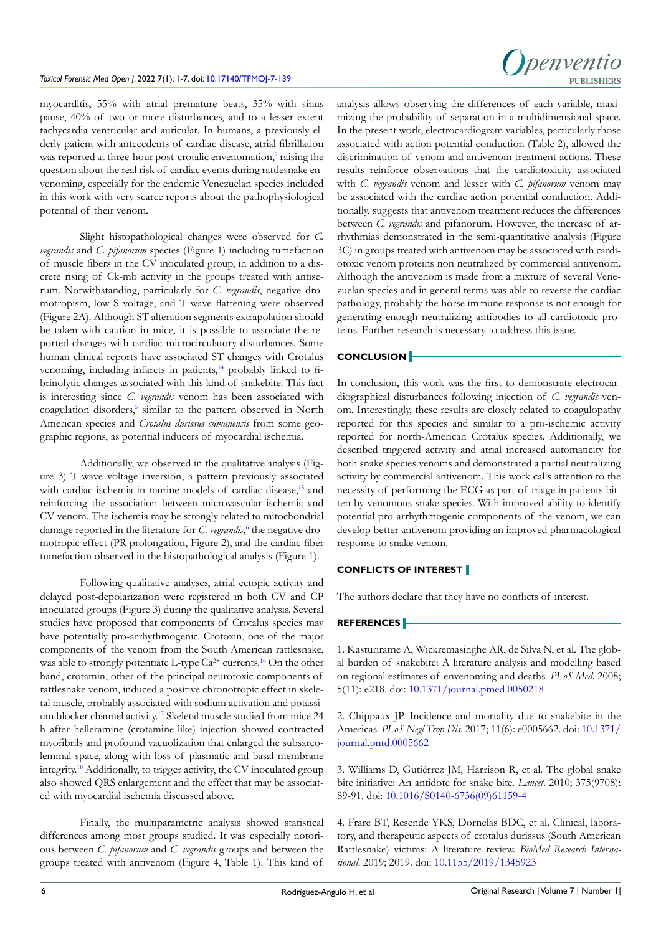

myocarditis, 55% with atrial premature beats, 35% with sinus pause, 40% of two or more disturbances, and to a lesser extent tachycardia ventricular and auricular. In humans, a previously elderly patient with antecedents of cardiac disease, atrial fibrillation was reported at three-hour post-crotalic envenomation,<sup>[9](#page-6-4)</sup> raising the question about the real risk of cardiac events during rattlesnake envenoming, especially for the endemic Venezuelan species included in this work with very scarce reports about the pathophysiological potential of their venom.

Slight histopathological changes were observed for *C. vegrandis* and *C. pifanorum* species (Figure 1) including tumefaction of muscle fibers in the CV inoculated group, in addition to a discrete rising of Ck-mb activity in the groups treated with antiserum. Notwithstanding, particularly for *C. vegrandis*, negative dromotropism, low S voltage, and T wave flattening were observed (Figure 2A). Although ST alteration segments extrapolation should be taken with caution in mice, it is possible to associate the reported changes with cardiac microcirculatory disturbances. Some human clinical reports have associated ST changes with Crotalus venoming, including infarcts in patients,<sup>14</sup> probably linked to fibrinolytic changes associated with this kind of snakebite. This fact is interesting since *C. vegrandis* venom has been associated with coagulation disorders,<sup>[5](#page-6-0)</sup> similar to the pattern observed in North American species and *Crotalus durissus cumanensis* from some geographic regions, as potential inducers of myocardial ischemia.

Additionally, we observed in the qualitative analysis (Figure 3) T wave voltage inversion, a pattern previously associated with cardiac ischemia in murine models of cardiac disease,<sup>[15](#page-6-10)</sup> and reinforcing the association between microvascular ischemia and CV venom. The ischemia may be strongly related to mitochondrial damage reported in the literature for *C. vegrandis*,<sup>[6](#page-6-1)</sup> the negative dromotropic effect (PR prolongation, Figure 2), and the cardiac fiber tumefaction observed in the histopathological analysis (Figure 1).

Following qualitative analyses, atrial ectopic activity and delayed post-depolarization were registered in both CV and CP inoculated groups (Figure 3) during the qualitative analysis. Several studies have proposed that components of Crotalus species may have potentially pro-arrhythmogenic. Crotoxin, one of the major components of the venom from the South American rattlesnake, was able to strongly potentiate L-type  $Ca^{2+}$  currents.<sup>16</sup> On the other hand, crotamin, other of the principal neurotoxic components of rattlesnake venom, induced a positive chronotropic effect in skeletal muscle, probably associated with sodium activation and potassium blocker channel activity.<sup>17</sup> Skeletal muscle studied from mice 24 h after helleramine (crotamine-like) injection showed contracted myofibrils and profound vacuolization that enlarged the subsarcolemmal space, along with loss of plasmatic and basal membrane integrity[.18](#page-6-13) Additionally, to trigger activity, the CV inoculated group also showed QRS enlargement and the effect that may be associated with myocardial ischemia discussed above.

Finally, the multiparametric analysis showed statistical differences among most groups studied. It was especially notorious between *C. pifanorum* and *C. vegrandis* groups and between the groups treated with antivenom (Figure 4, Table 1). This kind of

analysis allows observing the differences of each variable, maximizing the probability of separation in a multidimensional space. In the present work, electrocardiogram variables, particularly those associated with action potential conduction (Table 2), allowed the discrimination of venom and antivenom treatment actions. These results reinforce observations that the cardiotoxicity associated with *C. vegrandis* venom and lesser with *C. pifanorum* venom may be associated with the cardiac action potential conduction. Additionally, suggests that antivenom treatment reduces the differences between *C. vegrandis* and pifanorum. However, the increase of arrhythmias demonstrated in the semi-quantitative analysis (Figure 3C) in groups treated with antivenom may be associated with cardiotoxic venom proteins non neutralized by commercial antivenom. Although the antivenom is made from a mixture of several Venezuelan species and in general terms was able to reverse the cardiac pathology, probably the horse immune response is not enough for generating enough neutralizing antibodies to all cardiotoxic proteins. Further research is necessary to address this issue.

#### **CONCLUSION**

In conclusion, this work was the first to demonstrate electrocardiographical disturbances following injection of *C. vegrandis* venom. Interestingly, these results are closely related to coagulopathy reported for this species and similar to a pro-ischemic activity reported for north-American Crotalus species. Additionally, we described triggered activity and atrial increased automaticity for both snake species venoms and demonstrated a partial neutralizing activity by commercial antivenom. This work calls attention to the necessity of performing the ECG as part of triage in patients bitten by venomous snake species. With improved ability to identify potential pro-arrhythmogenic components of the venom, we can develop better antivenom providing an improved pharmacological response to snake venom.

## **CONFLICTS OF INTEREST**

The authors declare that they have no conflicts of interest.

#### **REFERENCES**

<span id="page-5-0"></span>1. Kasturiratne A, Wickremasinghe AR, de Silva N, et al. The global burden of snakebite: A literature analysis and modelling based on regional estimates of envenoming and deaths. *PLoS Med*. 2008; 5(11): e218. doi: [10.1371/journal.pmed.0050218](http://doi.org/10.1371/journal.pmed.0050218)

<span id="page-5-1"></span>2. Chippaux JP. Incidence and mortality due to snakebite in the Americas. *PLoS Negl Trop Dis*. 2017; 11(6): e0005662. doi: [10.1371/](http://doi.org/10.1371/journal.pntd.0005662) [journal.pntd.0005662](http://doi.org/10.1371/journal.pntd.0005662)

<span id="page-5-2"></span>3. Williams D, Gutiérrez JM, Harrison R, et al. The global snake bite initiative: An antidote for snake bite. *Lancet*. 2010; 375(9708): 89-91. doi: [10.1016/S0140-6736\(09\)61159-4](http://doi.org/10.1016/S0140-6736(09)61159-4)

<span id="page-5-3"></span>4. Frare BT, Resende YKS, Dornelas BDC, et al. Clinical, laboratory, and therapeutic aspects of crotalus durissus (South American Rattlesnake) victims: A literature review. *BioMed Research International*. 2019; 2019. doi: [10.1155/2019/1345923](http://doi.org/10.1155/2019/1345923)